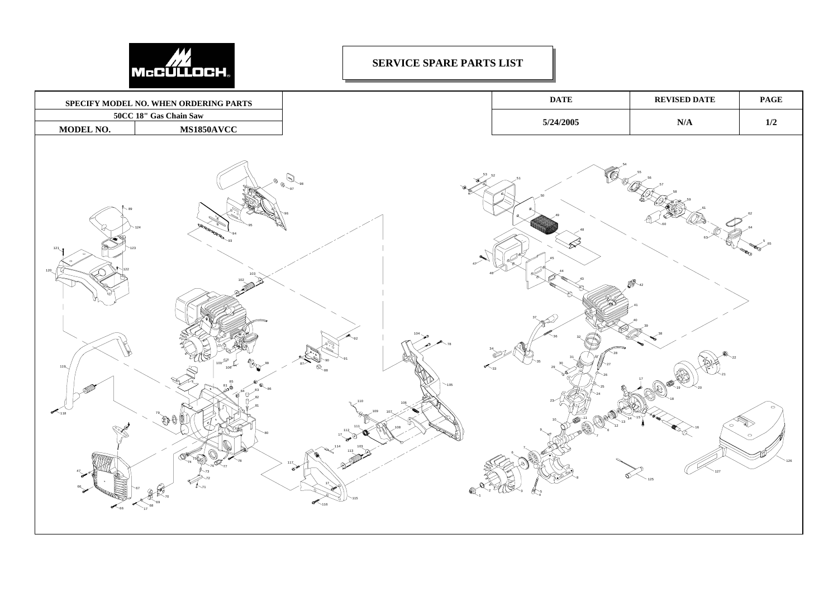

## **SERVICE SPARE PARTS LIST**